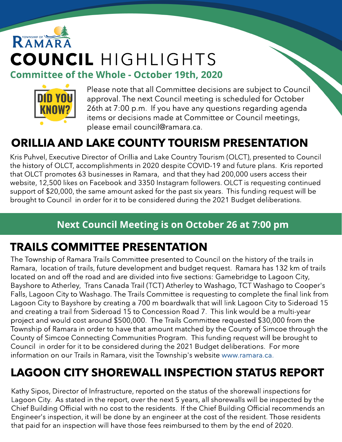# RAMARA COUNCIL HIGHLIGHTS Committee of the Whole - October 19th, 2020



Please note that all Committee decisions are subject to Council approval. The next Council meeting is scheduled for October 26th at 7:00 p.m. If you have any questions regarding agenda items or decisions made at Committee or Council meetings, please email council@ramara.ca.

## ORILLIA AND LAKE COUNTY TOURISM PRESENTATION

Kris Puhvel, Executive Director of Orillia and Lake Country Tourism (OLCT), presented to Council the history of OLCT, accomplishments in 2020 despite COVID-19 and future plans. Kris reported that OLCT promotes 63 businesses in Ramara, and that they had 200,000 users access their website, 12,500 likes on Facebook and 3350 Instagram followers. OLCT is requesting continued support of \$20,000, the same amount asked for the past six years. This funding request will be brought to Council in order for it to be considered during the 2021 Budget deliberations.

#### Next Council Meeting is on October 26 at 7:00 pm

### TRAILS COMMITTEE PRESENTATION

The Township of Ramara Trails Committee presented to Council on the history of the trails in Ramara, location of trails, future development and budget request. Ramara has 132 km of trails located on and off the road and are divided into five sections: Gamebridge to Lagoon City, Bayshore to Atherley, Trans Canada Trail (TCT) Atherley to Washago, TCT Washago to Cooper's Falls, Lagoon City to Washago. The Trails Committee is requesting to complete the final link from Lagoon City to Bayshore by creating a 700 m boardwalk that will link Lagoon City to Sideroad 15 and creating a trail from Sideroad 15 to Concession Road 7. This link would be a multi-year project and would cost around \$500,000. The Trails Committee requested \$30,000 from the Township of Ramara in order to have that amount matched by the County of Simcoe through the County of Simcoe Connecting Communities Program. This funding request will be brought to Council in order for it to be considered during the 2021 Budget deliberations. For more information on our Trails in Ramara, visit the Township's website [www.ramara.ca.](http://www.ramara.ca)

### LAGOON CITY SHOREWALL INSPECTION STATUS REPORT

Kathy Sipos, Director of Infrastructure, reported on the status of the shorewall inspections for Lagoon City. As stated in the report, over the next 5 years, all shorewalls will be inspected by the Chief Building Official with no cost to the residents. If the Chief Building Official recommends an Engineer's inspection, it will be done by an engineer at the cost of the resident. Those residents that paid for an inspection will have those fees reimbursed to them by the end of 2020.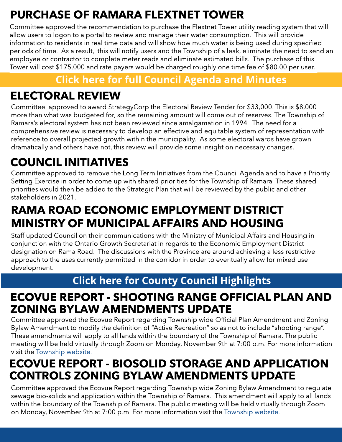## PURCHASE OF RAMARA FLEXTNET TOWER

Committee approved the recommendation to purchase the Flextnet Tower utility reading system that will allow users to logon to a portal to review and manage their water consumption. This will provide information to residents in real time data and will show how much water is being used during specified periods of time. As a result, this will notify users and the Township of a leak, eliminate the need to send an employee or contractor to complete meter reads and eliminate estimated bills. The purchase of this Tower will cost \$175,000 and rate payers would be charged roughly one time fee of \$80.00 per user.

#### **[Click](https://ramara.civicweb.net/portal/) [here](https://ramara.civicweb.net/portal/) [for](https://ramara.civicweb.net/portal/) [full](https://ramara.civicweb.net/portal/) [Council](https://ramara.civicweb.net/portal/) [Agenda](https://ramara.civicweb.net/portal/) [and](https://ramara.civicweb.net/portal/) [Minut](https://ramara.civicweb.net/portal/)es**

### ELECTORAL REVIEW

Committee approved to award StrategyCorp the Electoral Review Tender for \$33,000. This is \$8,000 more than what was budgeted for, so the remaining amount will come out of reserves. The Township of Ramara?s electoral system has not been reviewed since amalgamation in 1994. The need for a comprehensive review is necessary to develop an effective and equitable system of representation with reference to overall projected growth within the municipality. As some electoral wards have grown dramatically and others have not, this review will provide some insight on necessary changes.

### COUNCIL INITIATIVES

Committee approved to remove the Long Term Initiatives from the Council Agenda and to have a Priority Setting Exercise in order to come up with shared priorities for the Township of Ramara. These shared priorities would then be added to the Strategic Plan that will be reviewed by the public and other stakeholders in 2021.

### RAMA ROAD ECONOMIC EMPLOYMENT DISTRICT MINISTRY OF MUNICIPAL AFFAIRS AND HOUSING

Staff updated Council on their communications with the Ministry of Municipal Affairs and Housing in conjunction with the Ontario Growth Secretariat in regards to the Economic Employment District designation on Rama Road. The discussions with the Province are around achieving a less restrictive approach to the uses currently permitted in the corridor in order to eventually allow for mixed use development.

#### **[Click](https://ramara.civicweb.net/portal/) [here](https://ramara.civicweb.net/portal/) [for](https://ramara.civicweb.net/portal/) [Count](https://www.simcoe.ca/dpt/ccd/newsletters)y [Council](https://www.simcoe.ca/dpt/ccd/newsletters) [Highlight](https://www.simcoe.ca/dpt/ccd/newsletters)s**

### ECOVUE REPORT - SHOOTING RANGE OFFICIAL PLAN AND ZONING BYLAW AMENDMENTS UPDATE

Committee approved the Ecovue Report regarding Township wide Official Plan Amendment and Zoning Bylaw Amendment to modify the definition of "Active Recreation" so as not to include "shooting range". These amendments will apply to all lands within the boundary of the Township of Ramara. The public meeting will be held virtually through Zoom on Monday, November 9th at 7:00 p.m. For more information visit the [Township](https://www.ramara.ca/en/news/notice-of-a-public-meeting-for-proposed-official-plan-and-zoning-bylaw-amendment.aspx) [website.](https://www.ramara.ca/en/news/notice-of-a-public-meeting-for-proposed-official-plan-and-zoning-bylaw-amendment.aspx)

### ECOVUE REPORT - BIOSOLID STORAGE AND APPLICATION CONTROLS ZONING BYLAW AMENDMENTS UPDATE

Committee approved the Ecovue Report regarding Township wide Zoning Bylaw Amendment to regulate sewage bio-solids and application within the Township of Ramara. This amendment will apply to all lands within the boundary of the Township of Ramara. The public meeting will be held virtually through Zoom on Monday, November 9th at 7:00 p.m. For more information visit the [Township](https://www.ramara.ca/en/news/notice-of-a-public-meeting-for-a-proposed-zoning-bylaw-amendment.aspx) [website.](https://www.ramara.ca/en/news/notice-of-a-public-meeting-for-a-proposed-zoning-bylaw-amendment.aspx)